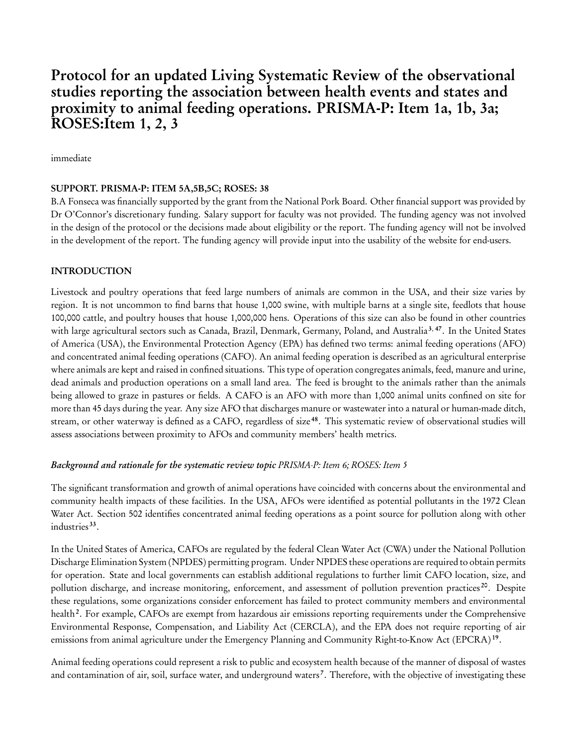# Protocol for an updated Living Systematic Review of the observational studies reporting the association between health events and states and proximity to animal feeding operations. PRISMA-P: Item 1a, 1b, 3a; ROSES:Item 1, 2, 3

immediate

#### SUPPORT. PRISMA-P: ITEM 5A,5B,5C; ROSES: 38

B.A Fonseca was financially supported by the grant from the National Pork Board. Other financial support was provided by Dr O'Connor's discretionary funding. Salary support for faculty was not provided. The funding agency was not involved in the design of the protocol or the decisions made about eligibility or the report. The funding agency will not be involved in the development of the report. The funding agency will provide input into the usability of the website for end-users.

#### INTRODUCTION

Livestock and poultry operations that feed large numbers of animals are common in the USA, and their size varies by region. It is not uncommon to find barns that house 1,000 swine, with multiple barns at a single site, feedlots that house 100,000 cattle, and poultry houses that house 1,000,000 hens. Operations of this size can also be found in other countries with large agricultural sectors such as Canada, Brazil, Denmark, Germany, Poland, and Australia<sup>3, 47</sup>. In the United States of America (USA), the Environmental Protection Agency (EPA) has defined two terms: animal feeding operations (AFO) and concentrated animal feeding operations (CAFO). An animal feeding operation is described as an agricultural enterprise where animals are kept and raised in confined situations. This type of operation congregates animals, feed, manure and urine, dead animals and production operations on a small land area. The feed is brought to the animals rather than the animals being allowed to graze in pastures or fields. A CAFO is an AFO with more than 1,000 animal units confined on site for more than 45 days during the year. Any size AFO that discharges manure or wastewater into a natural or human-made ditch, stream, or other waterway is defined as a CAFO, regardless of size <sup>48</sup>. This systematic review of observational studies will assess associations between proximity to AFOs and community members' health metrics.

# Background and rationale for the systematic review topic PRISMA-P: Item 6; ROSES: Item 5

The significant transformation and growth of animal operations have coincided with concerns about the environmental and community health impacts of these facilities. In the USA, AFOs were identified as potential pollutants in the 1972 Clean Water Act. Section 502 identifies concentrated animal feeding operations as a point source for pollution along with other industries <sup>33</sup> .

In the United States of America, CAFOs are regulated by the federal Clean Water Act (CWA) under the National Pollution Discharge Elimination System (NPDES) permitting program. Under NPDES these operations are required to obtain permits for operation. State and local governments can establish additional regulations to further limit CAFO location, size, and pollution discharge, and increase monitoring, enforcement, and assessment of pollution prevention practices<sup>20</sup>. Despite these regulations, some organizations consider enforcement has failed to protect community members and environmental health<sup>2</sup>. For example, CAFOs are exempt from hazardous air emissions reporting requirements under the Comprehensive Environmental Response, Compensation, and Liability Act (CERCLA), and the EPA does not require reporting of air emissions from animal agriculture under the Emergency Planning and Community Right-to-Know Act (EPCRA)<sup>19</sup>.

Animal feeding operations could represent a risk to public and ecosystem health because of the manner of disposal of wastes and contamination of air, soil, surface water, and underground waters<sup>7</sup>. Therefore, with the objective of investigating these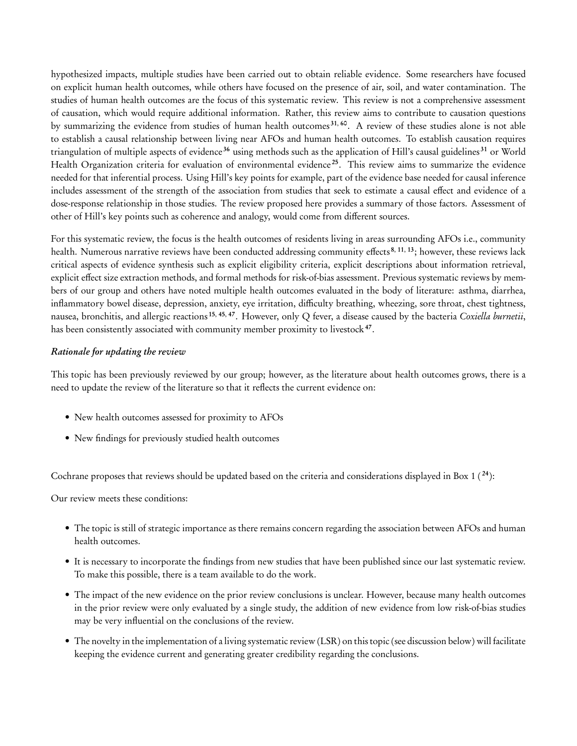hypothesized impacts, multiple studies have been carried out to obtain reliable evidence. Some researchers have focused on explicit human health outcomes, while others have focused on the presence of air, soil, and water contamination. The studies of human health outcomes are the focus of this systematic review. This review is not a comprehensive assessment of causation, which would require additional information. Rather, this review aims to contribute to causation questions by summarizing the evidence from studies of human health outcomes<sup>31, 60</sup>. A review of these studies alone is not able to establish a causal relationship between living near AFOs and human health outcomes. To establish causation requires triangulation of multiple aspects of evidence<sup>36</sup> using methods such as the application of Hill's causal guidelines<sup>31</sup> or World Health Organization criteria for evaluation of environmental evidence<sup>25</sup>. This review aims to summarize the evidence needed for that inferential process. Using Hill's key points for example, part of the evidence base needed for causal inference includes assessment of the strength of the association from studies that seek to estimate a causal effect and evidence of a dose-response relationship in those studies. The review proposed here provides a summary of those factors. Assessment of other of Hill's key points such as coherence and analogy, would come from different sources.

For this systematic review, the focus is the health outcomes of residents living in areas surrounding AFOs i.e., community health. Numerous narrative reviews have been conducted addressing community effects<sup>8, 11, 13</sup>; however, these reviews lack critical aspects of evidence synthesis such as explicit eligibility criteria, explicit descriptions about information retrieval, explicit effect size extraction methods, and formal methods for risk-of-bias assessment. Previous systematic reviews by members of our group and others have noted multiple health outcomes evaluated in the body of literature: asthma, diarrhea, inflammatory bowel disease, depression, anxiety, eye irritation, difficulty breathing, wheezing, sore throat, chest tightness, nausea, bronchitis, and allergic reactions <sup>15, 45, 47</sup>. However, only Q fever, a disease caused by the bacteria Coxiella burnetii, has been consistently associated with community member proximity to livestock<sup>47</sup>.

#### Rationale for updating the review

This topic has been previously reviewed by our group; however, as the literature about health outcomes grows, there is a need to update the review of the literature so that it reflects the current evidence on:

- New health outcomes assessed for proximity to AFOs
- New findings for previously studied health outcomes

Cochrane proposes that reviews should be updated based on the criteria and considerations displayed in Box 1  $(24)$ :

Our review meets these conditions:

- The topic is still of strategic importance as there remains concern regarding the association between AFOs and human health outcomes.
- It is necessary to incorporate the findings from new studies that have been published since our last systematic review. To make this possible, there is a team available to do the work.
- The impact of the new evidence on the prior review conclusions is unclear. However, because many health outcomes in the prior review were only evaluated by a single study, the addition of new evidence from low risk-of-bias studies may be very influential on the conclusions of the review.
- The novelty in the implementation of a living systematic review (LSR) on this topic (see discussion below) will facilitate keeping the evidence current and generating greater credibility regarding the conclusions.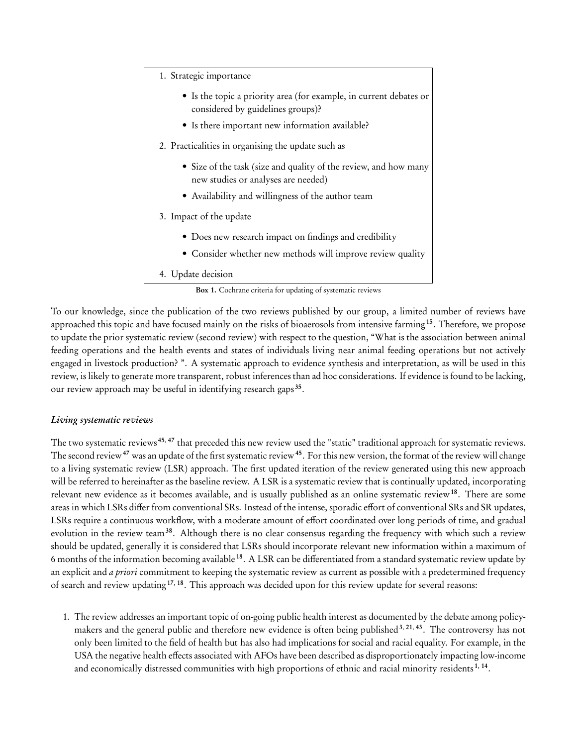1. Strategic importance

- Is the topic a priority area ( for example, in current debates or considered by guidelines groups)?
- Is there important new information available?
- 2. Practicalities in organising the update such as
	- Size of the task (size and quality of the review, and how many new studies or analyses are needed)
	- Availability and willingness of the author team

#### 3. Impact of the update

- Does new research impact on findings and credibility
- Consider whether new methods will improve review quality

# 4. Update decision

#### Box 1. Cochrane criteria for updating of systematic reviews

To our knowledge, since the publication of the two reviews published by our group, a limited number of reviews have approached this topic and have focused mainly on the risks of bioaerosols from intensive farming <sup>15</sup>. Therefore, we propose to update the prior systematic review (second review) with respect to the question, "What is the association between animal feeding operations and the health events and states of individuals living near animal feeding operations but not actively engaged in livestock production? ". A systematic approach to evidence synthesis and interpretation, as will be used in this review, is likely to generate more transparent, robust inferences than ad hoc considerations. If evidence is found to be lacking, our review approach may be useful in identifying research gaps<sup>35</sup>.

# Living systematic reviews

The two systematic reviews<sup>45, 47</sup> that preceded this new review used the "static" traditional approach for systematic reviews. The second review<sup>47</sup> was an update of the first systematic review<sup>45</sup>. For this new version, the format of the review will change to a living systematic review (LSR) approach. The first updated iteration of the review generated using this new approach will be referred to hereinafter as the baseline review. A LSR is a systematic review that is continually updated, incorporating relevant new evidence as it becomes available, and is usually published as an online systematic review<sup>18</sup>. There are some areas in which LSRs differ from conventional SRs. Instead of the intense, sporadic effort of conventional SRs and SR updates, LSRs require a continuous workflow, with a moderate amount of effort coordinated over long periods of time, and gradual evolution in the review team<sup>38</sup>. Although there is no clear consensus regarding the frequency with which such a review should be updated, generally it is considered that LSRs should incorporate relevant new information within a maximum of 6 months of the information becoming available <sup>18</sup>. A LSR can be differentiated from a standard systematic review update by an explicit and a priori commitment to keeping the systematic review as current as possible with a predetermined frequency of search and review updating <sup>17</sup>, <sup>18</sup>. This approach was decided upon for this review update for several reasons:

1. The review addresses an important topic of on-going public health interest as documented by the debate among policymakers and the general public and therefore new evidence is often being published<sup>3, 21, 43</sup>. The controversy has not only been limited to the field of health but has also had implications for social and racial equality. For example, in the USA the negative health effects associated with AFOs have been described as disproportionately impacting low-income and economically distressed communities with high proportions of ethnic and racial minority residents<sup>1, 14</sup>.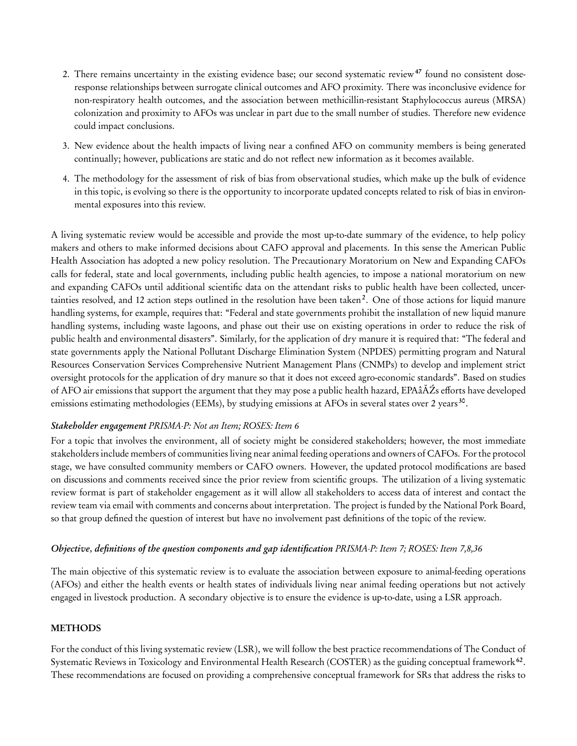- 2. There remains uncertainty in the existing evidence base; our second systematic review<sup>47</sup> found no consistent doseresponse relationships between surrogate clinical outcomes and AFO proximity. There was inconclusive evidence for non-respiratory health outcomes, and the association between methicillin-resistant Staphylococcus aureus (MRSA) colonization and proximity to AFOs was unclear in part due to the small number of studies. Therefore new evidence could impact conclusions.
- 3. New evidence about the health impacts of living near a confined AFO on community members is being generated continually; however, publications are static and do not reflect new information as it becomes available.
- 4. The methodology for the assessment of risk of bias from observational studies, which make up the bulk of evidence in this topic, is evolving so there is the opportunity to incorporate updated concepts related to risk of bias in environmental exposures into this review.

A living systematic review would be accessible and provide the most up-to-date summary of the evidence, to help policy makers and others to make informed decisions about CAFO approval and placements. In this sense the American Public Health Association has adopted a new policy resolution. The Precautionary Moratorium on New and Expanding CAFOs calls for federal, state and local governments, including public health agencies, to impose a national moratorium on new and expanding CAFOs until additional scientific data on the attendant risks to public health have been collected, uncertainties resolved, and 12 action steps outlined in the resolution have been taken<sup>2</sup>. One of those actions for liquid manure handling systems, for example, requires that: "Federal and state governments prohibit the installation of new liquid manure handling systems, including waste lagoons, and phase out their use on existing operations in order to reduce the risk of public health and environmental disasters". Similarly, for the application of dry manure it is required that: "The federal and state governments apply the National Pollutant Discharge Elimination System (NPDES) permitting program and Natural Resources Conservation Services Comprehensive Nutrient Management Plans (CNMPs) to develop and implement strict oversight protocols for the application of dry manure so that it does not exceed agro-economic standards". Based on studies of AFO air emissions that support the argument that they may pose a public health hazard, EPAâĂŹs efforts have developed emissions estimating methodologies (EEMs), by studying emissions at AFOs in several states over 2 years<sup>30</sup>.

#### Stakeholder engagement PRISMA-P: Not an Item; ROSES: Item 6

For a topic that involves the environment, all of society might be considered stakeholders; however, the most immediate stakeholders include members of communities living near animal feeding operations and owners of CAFOs. For the protocol stage, we have consulted community members or CAFO owners. However, the updated protocol modifications are based on discussions and comments received since the prior review from scientific groups. The utilization of a living systematic review format is part of stakeholder engagement as it will allow all stakeholders to access data of interest and contact the review team via email with comments and concerns about interpretation. The project is funded by the National Pork Board, so that group defined the question of interest but have no involvement past definitions of the topic of the review.

#### Objective, definitions of the question components and gap identification PRISMA-P: Item 7; ROSES: Item 7,8,36

The main objective of this systematic review is to evaluate the association between exposure to animal-feeding operations (AFOs) and either the health events or health states of individuals living near animal feeding operations but not actively engaged in livestock production. A secondary objective is to ensure the evidence is up-to-date, using a LSR approach.

#### **METHODS**

For the conduct of this living systematic review (LSR), we will follow the best practice recommendations of The Conduct of Systematic Reviews in Toxicology and Environmental Health Research (COSTER) as the guiding conceptual framework  $^{62}.$ These recommendations are focused on providing a comprehensive conceptual framework for SRs that address the risks to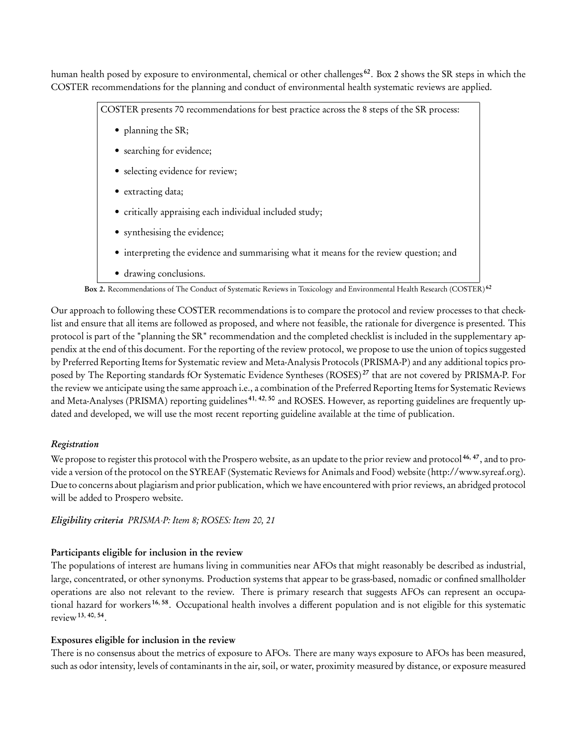human health posed by exposure to environmental, chemical or other challenges<sup>62</sup>. Box 2 shows the SR steps in which the COSTER recommendations for the planning and conduct of environmental health systematic reviews are applied.

COSTER presents 70 recommendations for best practice across the 8 steps of the SR process:

- planning the SR;
- searching for evidence;
- selecting evidence for review;
- extracting data;
- critically appraising each individual included study;
- synthesising the evidence;
- interpreting the evidence and summarising what it means for the review question; and
- drawing conclusions.

Box 2. Recommendations of The Conduct of Systematic Reviews in Toxicology and Environmental Health Research (COSTER)<sup>62</sup>

Our approach to following these COSTER recommendations is to compare the protocol and review processes to that checklist and ensure that all items are followed as proposed, and where not feasible, the rationale for divergence is presented. This protocol is part of the "planning the SR" recommendation and the completed checklist is included in the supplementary appendix at the end of this document. For the reporting of the review protocol, we propose to use the union of topics suggested by Preferred Reporting Items for Systematic review and Meta-Analysis Protocols (PRISMA-P) and any additional topics proposed by The Reporting standards fOr Systematic Evidence Syntheses (ROSES) <sup>27</sup> that are not covered by PRISMA-P. For the review we anticipate using the same approach i.e., a combination of the Preferred Reporting Items for Systematic Reviews and Meta-Analyses (PRISMA) reporting guidelines  $41, 42, 50$  and ROSES. However, as reporting guidelines are frequently updated and developed, we will use the most recent reporting guideline available at the time of publication.

# Registration

We propose to register this protocol with the Prospero website, as an update to the prior review and protocol  $46, 47$ , and to provide a version of the protocol on the SYREAF (Systematic Reviews for Animals and Food) website (http://www.syreaf.org). Due to concerns about plagiarism and prior publication, which we have encountered with prior reviews, an abridged protocol will be added to Prospero website.

Eligibility criteria PRISMA-P: Item 8; ROSES: Item 20, 21

# Participants eligible for inclusion in the review

The populations of interest are humans living in communities near AFOs that might reasonably be described as industrial, large, concentrated, or other synonyms. Production systems that appear to be grass-based, nomadic or confined smallholder operations are also not relevant to the review. There is primary research that suggests AFOs can represent an occupational hazard for workers <sup>16, 58</sup>. Occupational health involves a different population and is not eligible for this systematic review<sup>13, 40, 54</sup>.

# Exposures eligible for inclusion in the review

There is no consensus about the metrics of exposure to AFOs. There are many ways exposure to AFOs has been measured, such as odor intensity, levels of contaminants in the air, soil, or water, proximity measured by distance, or exposure measured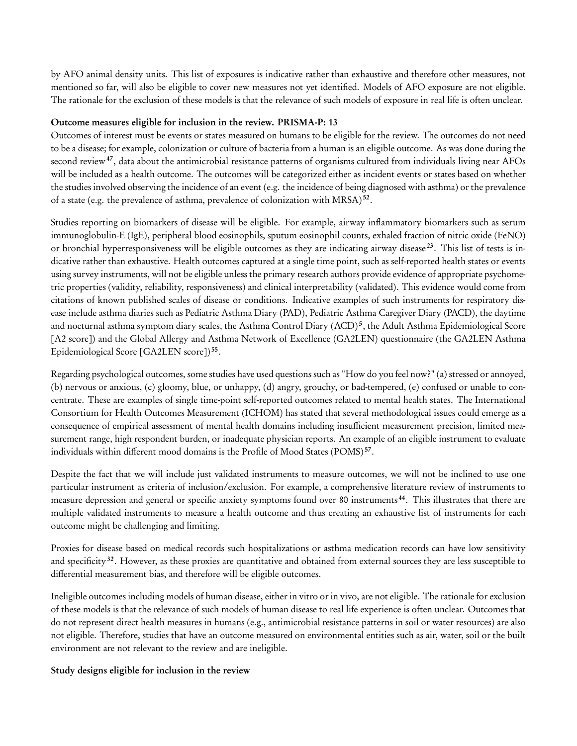by AFO animal density units. This list of exposures is indicative rather than exhaustive and therefore other measures, not mentioned so far, will also be eligible to cover new measures not yet identified. Models of AFO exposure are not eligible. The rationale for the exclusion of these models is that the relevance of such models of exposure in real life is often unclear.

#### Outcome measures eligible for inclusion in the review. PRISMA-P: 13

Outcomes of interest must be events or states measured on humans to be eligible for the review. The outcomes do not need to be a disease; for example, colonization or culture of bacteria from a human is an eligible outcome. As was done during the second review<sup>47</sup>, data about the antimicrobial resistance patterns of organisms cultured from individuals living near AFOs will be included as a health outcome. The outcomes will be categorized either as incident events or states based on whether the studies involved observing the incidence of an event (e.g. the incidence of being diagnosed with asthma) or the prevalence of a state (e.g. the prevalence of asthma, prevalence of colonization with MRSA)<sup>52</sup>.

Studies reporting on biomarkers of disease will be eligible. For example, airway inflammatory biomarkers such as serum immunoglobulin-E ( IgE), peripheral blood eosinophils, sputum eosinophil counts, exhaled fraction of nitric oxide (FeNO) or bronchial hyperresponsiveness will be eligible outcomes as they are indicating airway disease <sup>23</sup>. This list of tests is indicative rather than exhaustive. Health outcomes captured at a single time point, such as self-reported health states or events using survey instruments, will not be eligible unless the primary research authors provide evidence of appropriate psychometric properties (validity, reliability, responsiveness) and clinical interpretability (validated). This evidence would come from citations of known published scales of disease or conditions. Indicative examples of such instruments for respiratory disease include asthma diaries such as Pediatric Asthma Diary (PAD), Pediatric Asthma Caregiver Diary (PACD), the daytime and nocturnal asthma symptom diary scales, the Asthma Control Diary (ACD)<sup>5</sup>, the Adult Asthma Epidemiological Score [A2 score]) and the Global Allergy and Asthma Network of Excellence (GA2LEN) questionnaire ( the GA2LEN Asthma Epidemiological Score [GA2LEN score])<sup>55</sup>.

Regarding psychological outcomes, some studies have used questions such as "How do you feel now?" (a) stressed or annoyed, (b) nervous or anxious, (c) gloomy, blue, or unhappy, (d) angry, grouchy, or bad-tempered, (e) confused or unable to concentrate. These are examples of single time-point self-reported outcomes related to mental health states. The International Consortium for Health Outcomes Measurement ( ICHOM) has stated that several methodological issues could emerge as a consequence of empirical assessment of mental health domains including insufficient measurement precision, limited measurement range, high respondent burden, or inadequate physician reports. An example of an eligible instrument to evaluate individuals within different mood domains is the Profile of Mood States (POMS) <sup>57</sup> .

Despite the fact that we will include just validated instruments to measure outcomes, we will not be inclined to use one particular instrument as criteria of inclusion/exclusion. For example, a comprehensive literature review of instruments to measure depression and general or specific anxiety symptoms found over 80 instruments <sup>44</sup>. This illustrates that there are multiple validated instruments to measure a health outcome and thus creating an exhaustive list of instruments for each outcome might be challenging and limiting.

Proxies for disease based on medical records such hospitalizations or asthma medication records can have low sensitivity and specificity<sup>32</sup>. However, as these proxies are quantitative and obtained from external sources they are less susceptible to differential measurement bias, and therefore will be eligible outcomes.

Ineligible outcomes including models of human disease, either in vitro or in vivo, are not eligible. The rationale for exclusion of these models is that the relevance of such models of human disease to real life experience is often unclear. Outcomes that do not represent direct health measures in humans (e.g., antimicrobial resistance patterns in soil or water resources) are also not eligible. Therefore, studies that have an outcome measured on environmental entities such as air, water, soil or the built environment are not relevant to the review and are ineligible.

#### Study designs eligible for inclusion in the review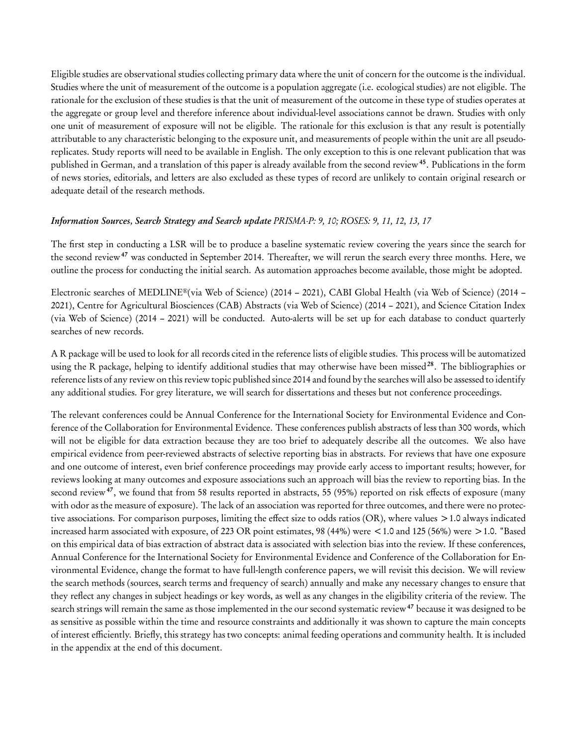Eligible studies are observational studies collecting primary data where the unit of concern for the outcome is the individual. Studies where the unit of measurement of the outcome is a population aggregate (i.e. ecological studies) are not eligible. The rationale for the exclusion of these studies is that the unit of measurement of the outcome in these type of studies operates at the aggregate or group level and therefore inference about individual-level associations cannot be drawn. Studies with only one unit of measurement of exposure will not be eligible. The rationale for this exclusion is that any result is potentially attributable to any characteristic belonging to the exposure unit, and measurements of people within the unit are all pseudoreplicates. Study reports will need to be available in English. The only exception to this is one relevant publication that was published in German, and a translation of this paper is already available from the second review<sup>45</sup>. Publications in the form of news stories, editorials, and letters are also excluded as these types of record are unlikely to contain original research or adequate detail of the research methods.

#### Information Sources, Search Strategy and Search update PRISMA-P: 9, 10; ROSES: 9, 11, 12, 13, 17

The first step in conducting a LSR will be to produce a baseline systematic review covering the years since the search for the second review<sup>47</sup> was conducted in September 2014. Thereafter, we will rerun the search every three months. Here, we outline the process for conducting the initial search. As automation approaches become available, those might be adopted.

Electronic searches of MEDLINE®(via Web of Science) (2014 – 2021), CABI Global Health (via Web of Science) (2014 – 2021), Centre for Agricultural Biosciences (CAB) Abstracts (via Web of Science) (2014 – 2021), and Science Citation Index (via Web of Science) (2014 – 2021) will be conducted. Auto-alerts will be set up for each database to conduct quarterly searches of new records.

A R package will be used to look for all records cited in the reference lists of eligible studies. This process will be automatized using the R package, helping to identify additional studies that may otherwise have been missed<sup>28</sup>. The bibliographies or reference lists of any review on this review topic published since 2014 and found by the searches will also be assessed to identify any additional studies. For grey literature, we will search for dissertations and theses but not conference proceedings.

The relevant conferences could be Annual Conference for the International Society for Environmental Evidence and Conference of the Collaboration for Environmental Evidence. These conferences publish abstracts of less than 300 words, which will not be eligible for data extraction because they are too brief to adequately describe all the outcomes. We also have empirical evidence from peer-reviewed abstracts of selective reporting bias in abstracts. For reviews that have one exposure and one outcome of interest, even brief conference proceedings may provide early access to important results; however, for reviews looking at many outcomes and exposure associations such an approach will bias the review to reporting bias. In the second review<sup>47</sup>, we found that from 58 results reported in abstracts, 55 (95%) reported on risk effects of exposure (many with odor as the measure of exposure). The lack of an association was reported for three outcomes, and there were no protective associations. For comparison purposes, limiting the effect size to odds ratios (OR), where values >1.0 always indicated increased harm associated with exposure, of 223 OR point estimates, 98 (44%) were <1.0 and 125 (56%) were >1.0. "Based on this empirical data of bias extraction of abstract data is associated with selection bias into the review. If these conferences, Annual Conference for the International Society for Environmental Evidence and Conference of the Collaboration for Environmental Evidence, change the format to have full-length conference papers, we will revisit this decision. We will review the search methods (sources, search terms and frequency of search) annually and make any necessary changes to ensure that they reflect any changes in subject headings or key words, as well as any changes in the eligibility criteria of the review. The search strings will remain the same as those implemented in the our second systematic review<sup>47</sup> because it was designed to be as sensitive as possible within the time and resource constraints and additionally it was shown to capture the main concepts of interest efficiently. Briefly, this strategy has two concepts: animal feeding operations and community health. It is included in the appendix at the end of this document.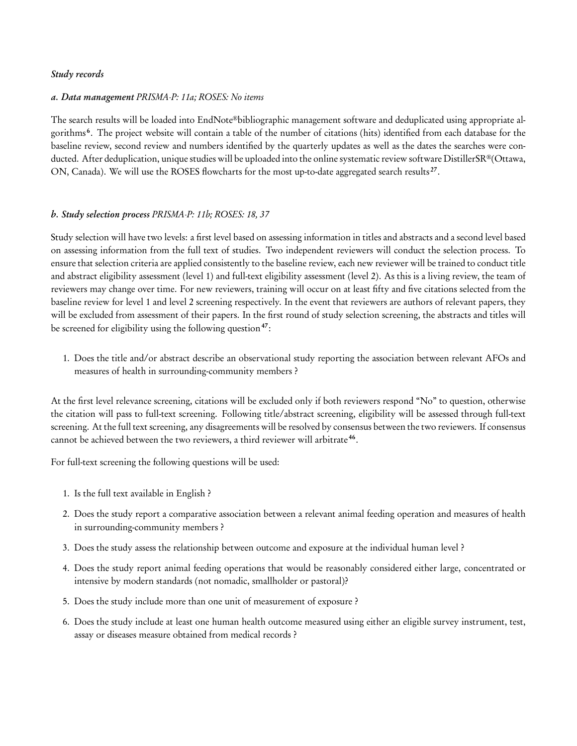#### Study records

#### a. Data management PRISMA-P: 11a; ROSES: No items

The search results will be loaded into EndNote®bibliographic management software and deduplicated using appropriate algorithms <sup>6</sup> . The project website will contain a table of the number of citations (hits) identified from each database for the baseline review, second review and numbers identified by the quarterly updates as well as the dates the searches were conducted. After deduplication, unique studies will be uploaded into the online systematic review software DistillerSR®(Ottawa, ON, Canada). We will use the ROSES flowcharts for the most up-to-date aggregated search results<sup>27</sup>.

#### b. Study selection process PRISMA-P: 11b; ROSES: 18, 37

Study selection will have two levels: a first level based on assessing information in titles and abstracts and a second level based on assessing information from the full text of studies. Two independent reviewers will conduct the selection process. To ensure that selection criteria are applied consistently to the baseline review, each new reviewer will be trained to conduct title and abstract eligibility assessment (level 1) and full-text eligibility assessment (level 2). As this is a living review, the team of reviewers may change over time. For new reviewers, training will occur on at least fifty and five citations selected from the baseline review for level 1 and level 2 screening respectively. In the event that reviewers are authors of relevant papers, they will be excluded from assessment of their papers. In the first round of study selection screening, the abstracts and titles will be screened for eligibility using the following question<sup>47</sup>:

1. Does the title and/or abstract describe an observational study reporting the association between relevant AFOs and measures of health in surrounding-community members ?

At the first level relevance screening, citations will be excluded only if both reviewers respond "No" to question, otherwise the citation will pass to full-text screening. Following title/abstract screening, eligibility will be assessed through full-text screening. At the full text screening, any disagreements will be resolved by consensus between the two reviewers. If consensus cannot be achieved between the two reviewers, a third reviewer will arbitrate<sup>46</sup>.

For full-text screening the following questions will be used:

- 1. Is the full text available in English ?
- 2. Does the study report a comparative association between a relevant animal feeding operation and measures of health in surrounding-community members ?
- 3. Does the study assess the relationship between outcome and exposure at the individual human level ?
- 4. Does the study report animal feeding operations that would be reasonably considered either large, concentrated or intensive by modern standards (not nomadic, smallholder or pastoral)?
- 5. Does the study include more than one unit of measurement of exposure ?
- 6. Does the study include at least one human health outcome measured using either an eligible survey instrument, test, assay or diseases measure obtained from medical records ?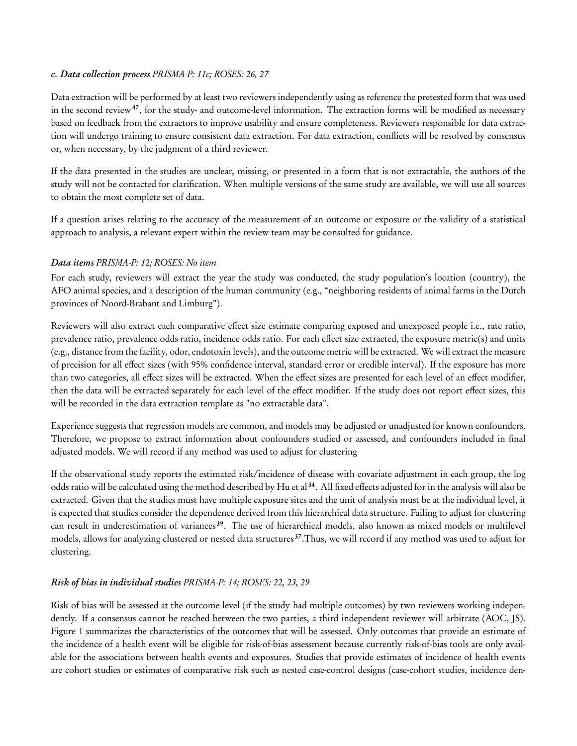#### c. Data collection process PRISMA-P: 11c; ROSES: 26, 27

Data extraction will be performed by at least two reviewers independently using as reference the pretested form that was used in the second review<sup>47</sup>, for the study- and outcome-level information. The extraction forms will be modified as necessary based on feedback from the extractors to improve usability and ensure completeness. Reviewers responsible for data extraction will undergo training to ensure consistent data extraction. For data extraction, conflicts will be resolved by consensus or, when necessary, by the judgment of a third reviewer.

If the data presented in the studies are unclear, missing, or presented in a form that is not extractable, the authors of the study will not be contacted for clarification. When multiple versions of the same study are available, we will use all sources to obtain the most complete set of data.

If a question arises relating to the accuracy of the measurement of an outcome or exposure or the validity of a statistical approach to analysis, a relevant expert within the review team may be consulted for guidance.

# Data items PRISMA-P: 12; ROSES: No item

For each study, reviewers will extract the year the study was conducted, the study population's location (country), the AFO animal species, and a description of the human community (e.g., "neighboring residents of animal farms in the Dutch provinces of Noord-Brabant and Limburg").

Reviewers will also extract each comparative effect size estimate comparing exposed and unexposed people i.e., rate ratio, prevalence ratio, prevalence odds ratio, incidence odds ratio. For each effect size extracted, the exposure metric(s) and units (e.g., distance from the facility, odor, endotoxin levels), and the outcome metric will be extracted. We will extract the measure of precision for all effect sizes (with 95% confidence interval, standard error or credible interval). If the exposure has more than two categories, all effect sizes will be extracted. When the effect sizes are presented for each level of an effect modifier, then the data will be extracted separately for each level of the effect modifier. If the study does not report effect sizes, this will be recorded in the data extraction template as "no extractable data".

Experience suggests that regression models are common, and models may be adjusted or unadjusted for known confounders. Therefore, we propose to extract information about confounders studied or assessed, and confounders included in final adjusted models. We will record if any method was used to adjust for clustering

If the observational study reports the estimated risk/incidence of disease with covariate adjustment in each group, the log odds ratio will be calculated using the method described by Hu et al <sup>34</sup>. All fixed effects adjusted for in the analysis will also be extracted. Given that the studies must have multiple exposure sites and the unit of analysis must be at the individual level, it is expected that studies consider the dependence derived from this hierarchical data structure. Failing to adjust for clustering can result in underestimation of variances <sup>39</sup>. The use of hierarchical models, also known as mixed models or multilevel models, allows for analyzing clustered or nested data structures<sup>37</sup>. Thus, we will record if any method was used to adjust for clustering.

# Risk of bias in individual studies PRISMA-P: 14; ROSES: 22, 23, 29

Risk of bias will be assessed at the outcome level (if the study had multiple outcomes) by two reviewers working independently. If a consensus cannot be reached between the two parties, a third independent reviewer will arbitrate (AOC, JS). Figure 1 summarizes the characteristics of the outcomes that will be assessed. Only outcomes that provide an estimate of the incidence of a health event will be eligible for risk-of-bias assessment because currently risk-of-bias tools are only available for the associations between health events and exposures. Studies that provide estimates of incidence of health events are cohort studies or estimates of comparative risk such as nested case-control designs (case-cohort studies, incidence den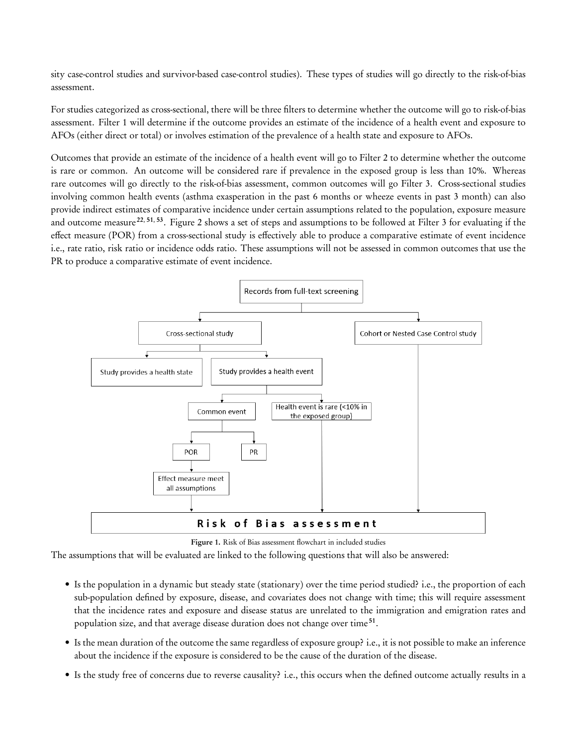sity case-control studies and survivor-based case-control studies). These types of studies will go directly to the risk-of-bias assessment.

For studies categorized as cross-sectional, there will be three filters to determine whether the outcome will go to risk-of-bias assessment. Filter 1 will determine if the outcome provides an estimate of the incidence of a health event and exposure to AFOs (either direct or total) or involves estimation of the prevalence of a health state and exposure to AFOs.

Outcomes that provide an estimate of the incidence of a health event will go to Filter 2 to determine whether the outcome is rare or common. An outcome will be considered rare if prevalence in the exposed group is less than 10%. Whereas rare outcomes will go directly to the risk-of-bias assessment, common outcomes will go Filter 3. Cross-sectional studies involving common health events (asthma exasperation in the past 6 months or wheeze events in past 3 month) can also provide indirect estimates of comparative incidence under certain assumptions related to the population, exposure measure and outcome measure<sup>22, 51, 53</sup>. Figure 2 shows a set of steps and assumptions to be followed at Filter 3 for evaluating if the effect measure (POR) from a cross-sectional study is effectively able to produce a comparative estimate of event incidence i.e., rate ratio, risk ratio or incidence odds ratio. These assumptions will not be assessed in common outcomes that use the PR to produce a comparative estimate of event incidence.



Figure 1. Risk of Bias assessment flowchart in included studies

The assumptions that will be evaluated are linked to the following questions that will also be answered:

- Is the population in a dynamic but steady state (stationary) over the time period studied? i.e., the proportion of each sub-population defined by exposure, disease, and covariates does not change with time; this will require assessment that the incidence rates and exposure and disease status are unrelated to the immigration and emigration rates and population size, and that average disease duration does not change over time<sup>51</sup>.
- Is the mean duration of the outcome the same regardless of exposure group? i.e., it is not possible to make an inference about the incidence if the exposure is considered to be the cause of the duration of the disease.
- Is the study free of concerns due to reverse causality? i.e., this occurs when the defined outcome actually results in a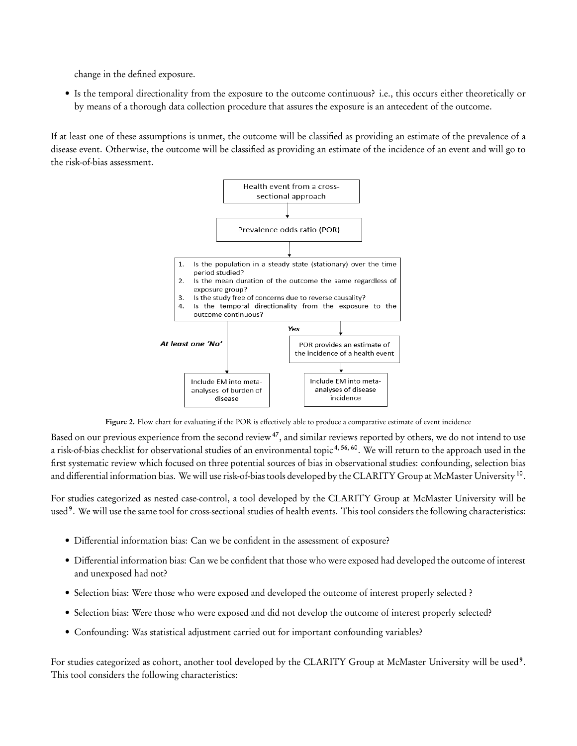change in the defined exposure.

• Is the temporal directionality from the exposure to the outcome continuous? i.e., this occurs either theoretically or by means of a thorough data collection procedure that assures the exposure is an antecedent of the outcome.

If at least one of these assumptions is unmet, the outcome will be classified as providing an estimate of the prevalence of a disease event. Otherwise, the outcome will be classified as providing an estimate of the incidence of an event and will go to the risk-of-bias assessment.



Figure 2. Flow chart for evaluating if the POR is effectively able to produce a comparative estimate of event incidence

Based on our previous experience from the second review<sup>47</sup>, and similar reviews reported by others, we do not intend to use a risk-of-bias checklist for observational studies of an environmental topic<sup>4, 56, 60</sup>. We will return to the approach used in the first systematic review which focused on three potential sources of bias in observational studies: confounding, selection bias and differential information bias. We will use risk-of-bias tools developed by the CLARITY Group at McMaster University<sup>10</sup>.

For studies categorized as nested case-control, a tool developed by the CLARITY Group at McMaster University will be used<sup>9</sup>. We will use the same tool for cross-sectional studies of health events. This tool considers the following characteristics:

- Differential information bias: Can we be confident in the assessment of exposure?
- Differential information bias: Can we be confident that those who were exposed had developed the outcome of interest and unexposed had not?
- Selection bias: Were those who were exposed and developed the outcome of interest properly selected ?
- Selection bias: Were those who were exposed and did not develop the outcome of interest properly selected?
- Confounding: Was statistical adjustment carried out for important confounding variables?

For studies categorized as cohort, another tool developed by the CLARITY Group at McMaster University will be used<sup>9</sup>. This tool considers the following characteristics: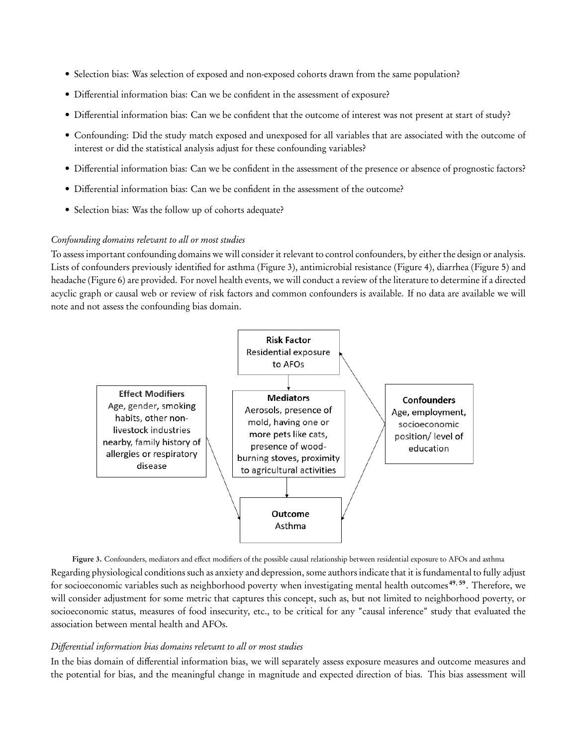- Selection bias: Was selection of exposed and non-exposed cohorts drawn from the same population?
- Differential information bias: Can we be confident in the assessment of exposure?
- Differential information bias: Can we be confident that the outcome of interest was not present at start of study?
- Confounding: Did the study match exposed and unexposed for all variables that are associated with the outcome of interest or did the statistical analysis adjust for these confounding variables?
- Differential information bias: Can we be confident in the assessment of the presence or absence of prognostic factors?
- Differential information bias: Can we be confident in the assessment of the outcome?
- Selection bias: Was the follow up of cohorts adequate?

# Confounding domains relevant to all or most studies

To assess important confounding domains we will consider it relevant to control confounders, by either the design or analysis. Lists of confounders previously identified for asthma (Figure 3), antimicrobial resistance (Figure 4), diarrhea (Figure 5) and headache (Figure 6) are provided. For novel health events, we will conduct a review of the literature to determine if a directed acyclic graph or causal web or review of risk factors and common confounders is available. If no data are available we will note and not assess the confounding bias domain.



Figure 3. Confounders, mediators and effect modifiers of the possible causal relationship between residential exposure to AFOs and asthma Regarding physiological conditions such as anxiety and depression, some authors indicate that it is fundamental to fully adjust for socioeconomic variables such as neighborhood poverty when investigating mental health outcomes <sup>49</sup>, <sup>59</sup>. Therefore, we will consider adjustment for some metric that captures this concept, such as, but not limited to neighborhood poverty, or socioeconomic status, measures of food insecurity, etc., to be critical for any "causal inference" study that evaluated the association between mental health and AFOs.

# Differential information bias domains relevant to all or most studies

In the bias domain of differential information bias, we will separately assess exposure measures and outcome measures and the potential for bias, and the meaningful change in magnitude and expected direction of bias. This bias assessment will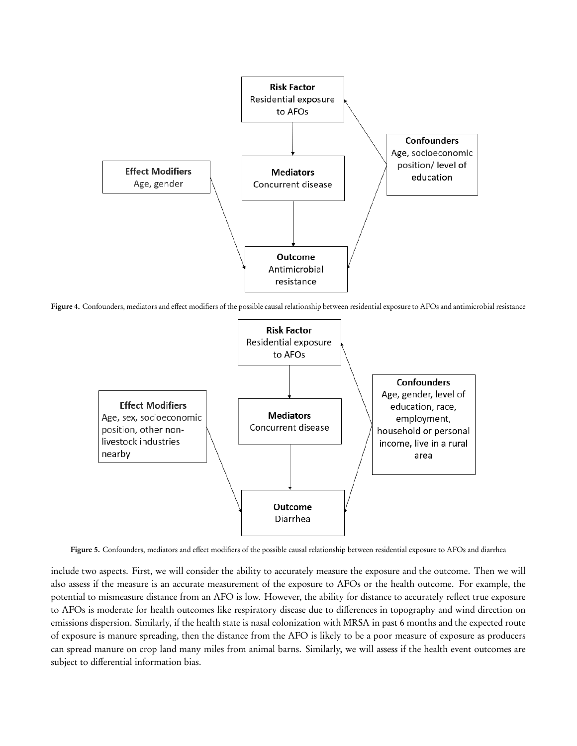

Figure 4. Confounders, mediators and effect modifiers of the possible causal relationship between residential exposure to AFOs and antimicrobial resistance



Figure 5. Confounders, mediators and effect modifiers of the possible causal relationship between residential exposure to AFOs and diarrhea

include two aspects. First, we will consider the ability to accurately measure the exposure and the outcome. Then we will also assess if the measure is an accurate measurement of the exposure to AFOs or the health outcome. For example, the potential to mismeasure distance from an AFO is low. However, the ability for distance to accurately reflect true exposure to AFOs is moderate for health outcomes like respiratory disease due to differences in topography and wind direction on emissions dispersion. Similarly, if the health state is nasal colonization with MRSA in past 6 months and the expected route of exposure is manure spreading, then the distance from the AFO is likely to be a poor measure of exposure as producers can spread manure on crop land many miles from animal barns. Similarly, we will assess if the health event outcomes are subject to differential information bias.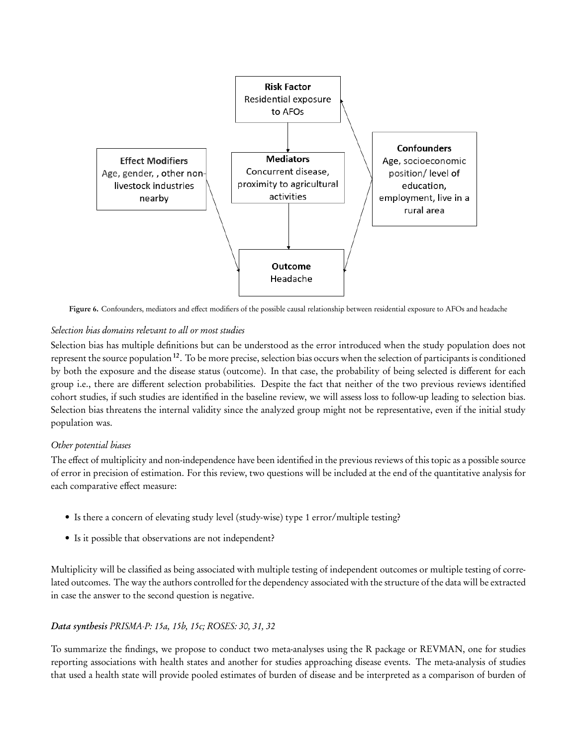

Figure 6. Confounders, mediators and effect modifiers of the possible causal relationship between residential exposure to AFOs and headache

# Selection bias domains relevant to all or most studies

Selection bias has multiple definitions but can be understood as the error introduced when the study population does not represent the source population<sup>12</sup>. To be more precise, selection bias occurs when the selection of participants is conditioned by both the exposure and the disease status (outcome). In that case, the probability of being selected is different for each group i.e., there are different selection probabilities. Despite the fact that neither of the two previous reviews identified cohort studies, if such studies are identified in the baseline review, we will assess loss to follow-up leading to selection bias. Selection bias threatens the internal validity since the analyzed group might not be representative, even if the initial study population was.

# Other potential biases

The effect of multiplicity and non-independence have been identified in the previous reviews of this topic as a possible source of error in precision of estimation. For this review, two questions will be included at the end of the quantitative analysis for each comparative effect measure:

- Is there a concern of elevating study level (study-wise) type 1 error/multiple testing?
- Is it possible that observations are not independent?

Multiplicity will be classified as being associated with multiple testing of independent outcomes or multiple testing of correlated outcomes. The way the authors controlled for the dependency associated with the structure of the data will be extracted in case the answer to the second question is negative.

# Data synthesis PRISMA-P: 15a, 15b, 15c; ROSES: 30, 31, 32

To summarize the findings, we propose to conduct two meta-analyses using the R package or REVMAN, one for studies reporting associations with health states and another for studies approaching disease events. The meta-analysis of studies that used a health state will provide pooled estimates of burden of disease and be interpreted as a comparison of burden of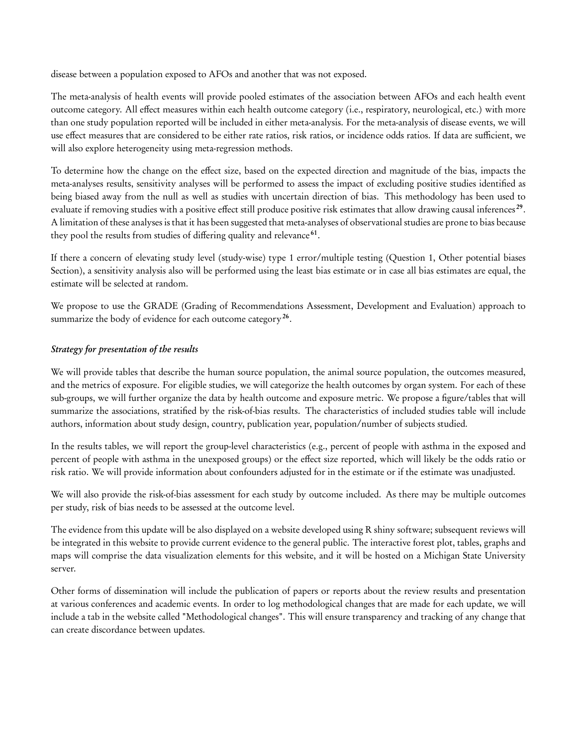disease between a population exposed to AFOs and another that was not exposed.

The meta-analysis of health events will provide pooled estimates of the association between AFOs and each health event outcome category. All effect measures within each health outcome category (i.e., respiratory, neurological, etc.) with more than one study population reported will be included in either meta-analysis. For the meta-analysis of disease events, we will use effect measures that are considered to be either rate ratios, risk ratios, or incidence odds ratios. If data are sufficient, we will also explore heterogeneity using meta-regression methods.

To determine how the change on the effect size, based on the expected direction and magnitude of the bias, impacts the meta-analyses results, sensitivity analyses will be performed to assess the impact of excluding positive studies identified as being biased away from the null as well as studies with uncertain direction of bias. This methodology has been used to evaluate if removing studies with a positive effect still produce positive risk estimates that allow drawing causal inferences<sup>29</sup>. A limitation of these analyses is that it has been suggested that meta-analyses of observational studies are prone to bias because they pool the results from studies of differing quality and relevance<sup>61</sup>.

If there a concern of elevating study level (study-wise) type 1 error/multiple testing (Question 1, Other potential biases Section), a sensitivity analysis also will be performed using the least bias estimate or in case all bias estimates are equal, the estimate will be selected at random.

We propose to use the GRADE (Grading of Recommendations Assessment, Development and Evaluation) approach to summarize the body of evidence for each outcome category<sup>26</sup>.

# Strategy for presentation of the results

We will provide tables that describe the human source population, the animal source population, the outcomes measured, and the metrics of exposure. For eligible studies, we will categorize the health outcomes by organ system. For each of these sub-groups, we will further organize the data by health outcome and exposure metric. We propose a figure/tables that will summarize the associations, stratified by the risk-of-bias results. The characteristics of included studies table will include authors, information about study design, country, publication year, population/number of subjects studied.

In the results tables, we will report the group-level characteristics (e.g., percent of people with asthma in the exposed and percent of people with asthma in the unexposed groups) or the effect size reported, which will likely be the odds ratio or risk ratio. We will provide information about confounders adjusted for in the estimate or if the estimate was unadjusted.

We will also provide the risk-of-bias assessment for each study by outcome included. As there may be multiple outcomes per study, risk of bias needs to be assessed at the outcome level.

The evidence from this update will be also displayed on a website developed using R shiny software; subsequent reviews will be integrated in this website to provide current evidence to the general public. The interactive forest plot, tables, graphs and maps will comprise the data visualization elements for this website, and it will be hosted on a Michigan State University server.

Other forms of dissemination will include the publication of papers or reports about the review results and presentation at various conferences and academic events. In order to log methodological changes that are made for each update, we will include a tab in the website called "Methodological changes". This will ensure transparency and tracking of any change that can create discordance between updates.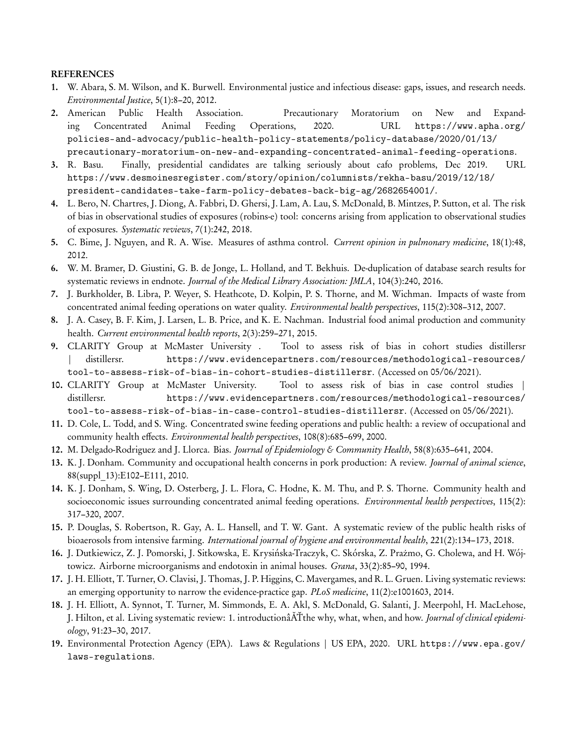#### REFERENCES

- 1. W. Abara, S. M. Wilson, and K. Burwell. Environmental justice and infectious disease: gaps, issues, and research needs. Environmental Justice, 5(1):8–20, 2012.
- 2. American Public Health Association. Precautionary Moratorium on New and Expanding Concentrated Animal Feeding Operations, 2020. URL https://www.apha.org/ policies-and-advocacy/public-health-policy-statements/policy-database/2020/01/13/ precautionary-moratorium-on-new-and-expanding-concentrated-animal-feeding-operations.
- 3. R. Basu. Finally, presidential candidates are talking seriously about cafo problems, Dec 2019. URL https://www.desmoinesregister.com/story/opinion/columnists/rekha-basu/2019/12/18/ president-candidates-take-farm-policy-debates-back-big-ag/2682654001/.
- 4. L. Bero, N. Chartres, J. Diong, A. Fabbri, D. Ghersi, J. Lam, A. Lau, S. McDonald, B. Mintzes, P. Sutton, et al. The risk of bias in observational studies of exposures (robins-e) tool: concerns arising from application to observational studies of exposures. Systematic reviews, 7(1):242, 2018.
- 5. C. Bime, J. Nguyen, and R. A. Wise. Measures of asthma control. Current opinion in pulmonary medicine, 18(1):48, 2012.
- 6. W. M. Bramer, D. Giustini, G. B. de Jonge, L. Holland, and T. Bekhuis. De-duplication of database search results for systematic reviews in endnote. Journal of the Medical Library Association: JMLA, 104(3):240, 2016.
- 7. J. Burkholder, B. Libra, P. Weyer, S. Heathcote, D. Kolpin, P. S. Thorne, and M. Wichman. Impacts of waste from concentrated animal feeding operations on water quality. Environmental health perspectives, 115(2):308–312, 2007.
- 8. J. A. Casey, B. F. Kim, J. Larsen, L. B. Price, and K. E. Nachman. Industrial food animal production and community health. Current environmental health reports, 2(3):259–271, 2015.
- 9. CLARITY Group at McMaster University . Tool to assess risk of bias in cohort studies distillersr distillersr. https://www.evidencepartners.com/resources/methodological-resources/ tool-to-assess-risk-of-bias-in-cohort-studies-distillersr. (Accessed on 05/06/2021).
- 10. CLARITY Group at McMaster University. Tool to assess risk of bias in case control studies | distillersr. https://www.evidencepartners.com/resources/methodological-resources/ tool-to-assess-risk-of-bias-in-case-control-studies-distillersr. (Accessed on 05/06/2021).
- 11. D. Cole, L. Todd, and S. Wing. Concentrated swine feeding operations and public health: a review of occupational and community health effects. Environmental health perspectives, 108(8):685–699, 2000.
- 12. M. Delgado-Rodriguez and J. Llorca. Bias. Journal of Epidemiology & Community Health, 58(8):635-641, 2004.
- 13. K. J. Donham. Community and occupational health concerns in pork production: A review. *Journal of animal science*, 88(suppl\_13):E102–E111, 2010.
- 14. K. J. Donham, S. Wing, D. Osterberg, J. L. Flora, C. Hodne, K. M. Thu, and P. S. Thorne. Community health and socioeconomic issues surrounding concentrated animal feeding operations. Environmental health perspectives, 115(2): 317–320, 2007.
- 15. P. Douglas, S. Robertson, R. Gay, A. L. Hansell, and T. W. Gant. A systematic review of the public health risks of bioaerosols from intensive farming. International journal of hygiene and environmental health, 221(2):134–173, 2018.
- 16. J. Dutkiewicz, Z. J. Pomorski, J. Sitkowska, E. Krysińska-Traczyk, C. Skórska, Z. Prażmo, G. Cholewa, and H. Wójtowicz. Airborne microorganisms and endotoxin in animal houses. *Grana*, 33(2):85-90, 1994.
- 17. J. H. Elliott, T. Turner, O. Clavisi, J. Thomas, J. P. Higgins, C. Mavergames, and R. L. Gruen. Living systematic reviews: an emerging opportunity to narrow the evidence-practice gap. PLoS medicine, 11(2):e1001603, 2014.
- 18. J. H. Elliott, A. Synnot, T. Turner, M. Simmonds, E. A. Akl, S. McDonald, G. Salanti, J. Meerpohl, H. MacLehose, J. Hilton, et al. Living systematic review: 1. introductionâĂŤthe why, what, when, and how. Journal of clinical epidemiology, 91:23–30, 2017.
- 19. Environmental Protection Agency (EPA). Laws & Regulations | US EPA, 2020. URL https://www.epa.gov/ laws-regulations.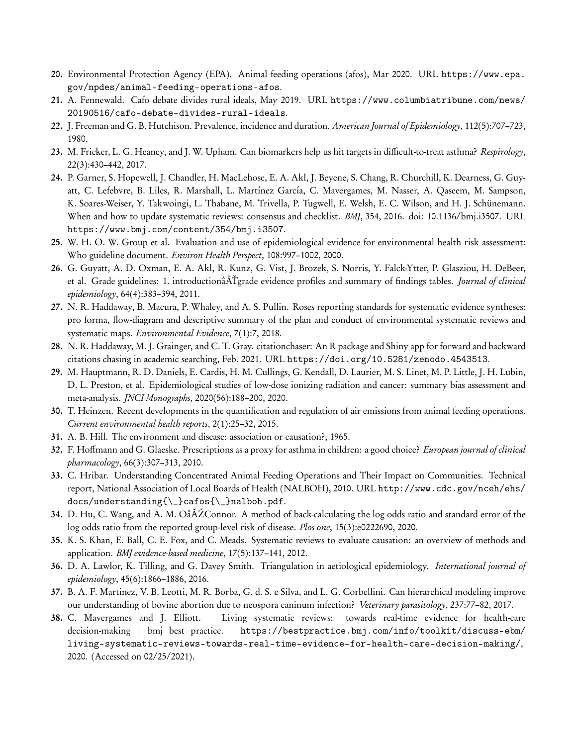- 20. Environmental Protection Agency (EPA). Animal feeding operations (afos), Mar 2020. URL https://www.epa. gov/npdes/animal-feeding-operations-afos.
- 21. A. Fennewald. Cafo debate divides rural ideals, May 2019. URL https://www.columbiatribune.com/news/ 20190516/cafo-debate-divides-rural-ideals.
- 22. J. Freeman and G. B. Hutchison. Prevalence, incidence and duration. American Journal of Epidemiology, 112(5):707–723, 1980.
- 23. M. Fricker, L. G. Heaney, and J. W. Upham. Can biomarkers help us hit targets in difficult-to-treat asthma? Respirology, 22(3):430–442, 2017.
- 24. P. Garner, S. Hopewell, J. Chandler, H. MacLehose, E. A. Akl, J. Beyene, S. Chang, R. Churchill, K. Dearness, G. Guyatt, C. Lefebvre, B. Liles, R. Marshall, L. Martínez García, C. Mavergames, M. Nasser, A. Qaseem, M. Sampson, K. Soares-Weiser, Y. Takwoingi, L. Thabane, M. Trivella, P. Tugwell, E. Welsh, E. C. Wilson, and H. J. Schünemann. When and how to update systematic reviews: consensus and checklist. BMJ, 354, 2016. doi: 10.1136/bmj.i3507. URL https://www.bmj.com/content/354/bmj.i3507.
- 25. W. H. O. W. Group et al. Evaluation and use of epidemiological evidence for environmental health risk assessment: Who guideline document. Environ Health Perspect, 108:997–1002, 2000.
- 26. G. Guyatt, A. D. Oxman, E. A. Akl, R. Kunz, G. Vist, J. Brozek, S. Norris, Y. Falck-Ytter, P. Glasziou, H. DeBeer, et al. Grade guidelines: 1. introductionâATgrade evidence profiles and summary of findings tables. Journal of clinical epidemiology, 64(4):383–394, 2011.
- 27. N. R. Haddaway, B. Macura, P. Whaley, and A. S. Pullin. Roses reporting standards for systematic evidence syntheses: pro forma, flow-diagram and descriptive summary of the plan and conduct of environmental systematic reviews and systematic maps. Environmental Evidence, 7(1):7, 2018.
- 28. N. R. Haddaway, M. J. Grainger, and C. T. Gray. citationchaser: An R package and Shiny app for forward and backward citations chasing in academic searching, Feb. 2021. URL https://doi.org/10.5281/zenodo.4543513.
- 29. M. Hauptmann, R. D. Daniels, E. Cardis, H. M. Cullings, G. Kendall, D. Laurier, M. S. Linet, M. P. Little, J. H. Lubin, D. L. Preston, et al. Epidemiological studies of low-dose ionizing radiation and cancer: summary bias assessment and meta-analysis. JNCI Monographs, 2020(56):188–200, 2020.
- 30. T. Heinzen. Recent developments in the quantification and regulation of air emissions from animal feeding operations. Current environmental health reports, 2(1):25–32, 2015.
- 31. A. B. Hill. The environment and disease: association or causation?, 1965.
- 32. F. Hoffmann and G. Glaeske. Prescriptions as a proxy for asthma in children: a good choice? *European journal of clinical* pharmacology, 66(3):307–313, 2010.
- 33. C. Hribar. Understanding Concentrated Animal Feeding Operations and Their Impact on Communities. Technical report, National Association of Local Boards of Health (NALBOH), 2010. URL http://www.cdc.gov/nceh/ehs/ docs/understanding{\\_}cafos{\\_}nalboh.pdf.
- 34. D. Hu, C. Wang, and A. M. OâĂŹConnor. A method of back-calculating the log odds ratio and standard error of the log odds ratio from the reported group-level risk of disease. Plos one, 15(3):e0222690, 2020.
- 35. K. S. Khan, E. Ball, C. E. Fox, and C. Meads. Systematic reviews to evaluate causation: an overview of methods and application. BMJ evidence-based medicine, 17(5):137–141, 2012.
- 36. D. A. Lawlor, K. Tilling, and G. Davey Smith. Triangulation in aetiological epidemiology. *International journal of* epidemiology, 45(6):1866–1886, 2016.
- 37. B. A. F. Martinez, V. B. Leotti, M. R. Borba, G. d. S. e Silva, and L. G. Corbellini. Can hierarchical modeling improve our understanding of bovine abortion due to neospora caninum infection? Veterinary parasitology, 237:77–82, 2017.
- 38. C. Mavergames and J. Elliott. Living systematic reviews: towards real-time evidence for health-care decision-making | bmj best practice. https://bestpractice.bmj.com/info/toolkit/discuss-ebm/ living-systematic-reviews-towards-real-time-evidence-for-health-care-decision-making/, 2020. (Accessed on 02/25/2021).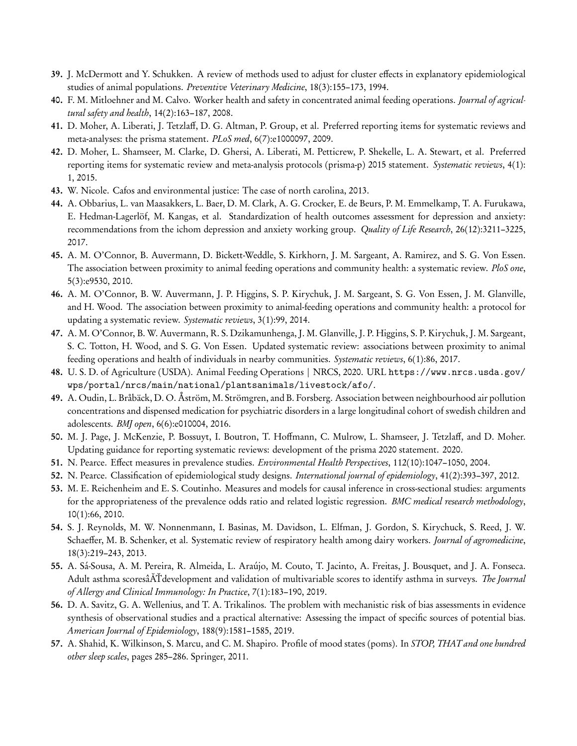- 39. J. McDermott and Y. Schukken. A review of methods used to adjust for cluster effects in explanatory epidemiological studies of animal populations. Preventive Veterinary Medicine, 18(3):155–173, 1994.
- 40. F. M. Mitloehner and M. Calvo. Worker health and safety in concentrated animal feeding operations. Journal of agricultural safety and health, 14(2):163–187, 2008.
- 41. D. Moher, A. Liberati, J. Tetzlaff, D. G. Altman, P. Group, et al. Preferred reporting items for systematic reviews and meta-analyses: the prisma statement. PLoS med, 6(7):e1000097, 2009.
- 42. D. Moher, L. Shamseer, M. Clarke, D. Ghersi, A. Liberati, M. Petticrew, P. Shekelle, L. A. Stewart, et al. Preferred reporting items for systematic review and meta-analysis protocols (prisma-p) 2015 statement. Systematic reviews, 4(1): 1, 2015.
- 43. W. Nicole. Cafos and environmental justice: The case of north carolina, 2013.
- 44. A. Obbarius, L. van Maasakkers, L. Baer, D. M. Clark, A. G. Crocker, E. de Beurs, P. M. Emmelkamp, T. A. Furukawa, E. Hedman-Lagerlöf, M. Kangas, et al. Standardization of health outcomes assessment for depression and anxiety: recommendations from the ichom depression and anxiety working group. Quality of Life Research, 26(12):3211–3225, 2017.
- 45. A. M. O'Connor, B. Auvermann, D. Bickett-Weddle, S. Kirkhorn, J. M. Sargeant, A. Ramirez, and S. G. Von Essen. The association between proximity to animal feeding operations and community health: a systematic review. PloS one, 5(3):e9530, 2010.
- 46. A. M. O'Connor, B. W. Auvermann, J. P. Higgins, S. P. Kirychuk, J. M. Sargeant, S. G. Von Essen, J. M. Glanville, and H. Wood. The association between proximity to animal-feeding operations and community health: a protocol for updating a systematic review. Systematic reviews, 3(1):99, 2014.
- 47. A. M. O'Connor, B. W. Auvermann, R. S. Dzikamunhenga, J. M. Glanville, J. P. Higgins, S. P. Kirychuk, J. M. Sargeant, S. C. Totton, H. Wood, and S. G. Von Essen. Updated systematic review: associations between proximity to animal feeding operations and health of individuals in nearby communities. Systematic reviews, 6(1):86, 2017.
- 48. U. S. D. of Agriculture (USDA). Animal Feeding Operations | NRCS, 2020. URL https://www.nrcs.usda.gov/ wps/portal/nrcs/main/national/plantsanimals/livestock/afo/.
- 49. A. Oudin, L. Bråbäck, D. O. Åström, M. Strömgren, and B. Forsberg. Association between neighbourhood air pollution concentrations and dispensed medication for psychiatric disorders in a large longitudinal cohort of swedish children and adolescents. BMJ open, 6(6):e010004, 2016.
- 50. M. J. Page, J. McKenzie, P. Bossuyt, I. Boutron, T. Hoffmann, C. Mulrow, L. Shamseer, J. Tetzlaff, and D. Moher. Updating guidance for reporting systematic reviews: development of the prisma 2020 statement. 2020.
- 51. N. Pearce. Effect measures in prevalence studies. Environmental Health Perspectives, 112(10):1047–1050, 2004.
- 52. N. Pearce. Classification of epidemiological study designs. International journal of epidemiology, 41(2):393–397, 2012.
- 53. M. E. Reichenheim and E. S. Coutinho. Measures and models for causal inference in cross-sectional studies: arguments for the appropriateness of the prevalence odds ratio and related logistic regression. BMC medical research methodology, 10(1):66, 2010.
- 54. S. J. Reynolds, M. W. Nonnenmann, I. Basinas, M. Davidson, L. Elfman, J. Gordon, S. Kirychuck, S. Reed, J. W. Schaeffer, M. B. Schenker, et al. Systematic review of respiratory health among dairy workers. Journal of agromedicine, 18(3):219–243, 2013.
- 55. A. Sá-Sousa, A. M. Pereira, R. Almeida, L. Araújo, M. Couto, T. Jacinto, A. Freitas, J. Bousquet, and J. A. Fonseca. Adult asthma scoresâĂŤdevelopment and validation of multivariable scores to identify asthma in surveys. The Journal of Allergy and Clinical Immunology: In Practice, 7(1):183–190, 2019.
- 56. D. A. Savitz, G. A. Wellenius, and T. A. Trikalinos. The problem with mechanistic risk of bias assessments in evidence synthesis of observational studies and a practical alternative: Assessing the impact of specific sources of potential bias. American Journal of Epidemiology, 188(9):1581–1585, 2019.
- 57. A. Shahid, K. Wilkinson, S. Marcu, and C. M. Shapiro. Profile of mood states (poms). In *STOP*, *THAT and one hundred* other sleep scales, pages 285–286. Springer, 2011.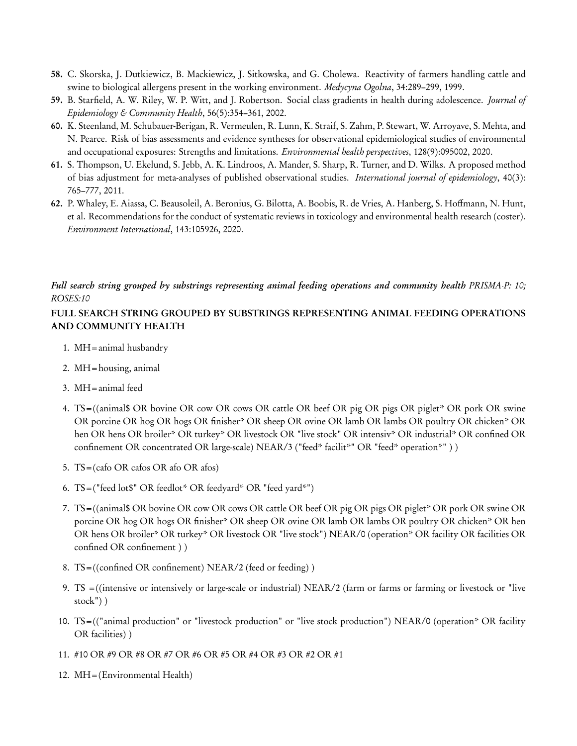- 58. C. Skorska, J. Dutkiewicz, B. Mackiewicz, J. Sitkowska, and G. Cholewa. Reactivity of farmers handling cattle and swine to biological allergens present in the working environment. Medycyna Ogolna, 34:289–299, 1999.
- 59. B. Starfield, A. W. Riley, W. P. Witt, and J. Robertson. Social class gradients in health during adolescence. *Journal of* Epidemiology & Community Health,  $56(5):354-361$ , 2002.
- 60. K. Steenland, M. Schubauer-Berigan, R. Vermeulen, R. Lunn, K. Straif, S. Zahm, P. Stewart, W. Arroyave, S. Mehta, and N. Pearce. Risk of bias assessments and evidence syntheses for observational epidemiological studies of environmental and occupational exposures: Strengths and limitations. Environmental health perspectives, 128(9):095002, 2020.
- 61. S. Thompson, U. Ekelund, S. Jebb, A. K. Lindroos, A. Mander, S. Sharp, R. Turner, and D. Wilks. A proposed method of bias adjustment for meta-analyses of published observational studies. International journal of epidemiology, 40(3): 765–777, 2011.
- 62. P. Whaley, E. Aiassa, C. Beausoleil, A. Beronius, G. Bilotta, A. Boobis, R. de Vries, A. Hanberg, S. Hoffmann, N. Hunt, et al. Recommendations for the conduct of systematic reviews in toxicology and environmental health research (coster). Environment International, 143:105926, 2020.

# Full search string grouped by substrings representing animal feeding operations and community health PRISMA-P: 10; ROSES:10

# FULL SEARCH STRING GROUPED BY SUBSTRINGS REPRESENTING ANIMAL FEEDING OPERATIONS AND COMMUNITY HEALTH

- 1. MH=animal husbandry
- 2. MH=housing, animal
- 3. MH=animal feed
- 4. TS=((animal\$ OR bovine OR cow OR cows OR cattle OR beef OR pig OR pigs OR piglet\* OR pork OR swine OR porcine OR hog OR hogs OR finisher\* OR sheep OR ovine OR lamb OR lambs OR poultry OR chicken\* OR hen OR hens OR broiler\* OR turkey\* OR livestock OR "live stock" OR intensiv\* OR industrial\* OR confined OR confinement OR concentrated OR large-scale) NEAR/3 ("feed\* facilit\*" OR "feed\* operation\*" ) )
- 5. TS=(cafo OR cafos OR afo OR afos)
- 6. TS=("feed lot\$" OR feedlot\* OR feedyard\* OR "feed yard\*")
- 7. TS=((animal\$ OR bovine OR cow OR cows OR cattle OR beef OR pig OR pigs OR piglet\* OR pork OR swine OR porcine OR hog OR hogs OR finisher\* OR sheep OR ovine OR lamb OR lambs OR poultry OR chicken\* OR hen OR hens OR broiler\* OR turkey\* OR livestock OR "live stock") NEAR/0 (operation\* OR facility OR facilities OR confined OR confinement ) )
- 8. TS=((confined OR confinement) NEAR/2 ( feed or feeding) )
- 9. TS =((intensive or intensively or large-scale or industrial) NEAR/2 ( farm or farms or farming or livestock or "live stock") )
- 10. TS=(("animal production" or "livestock production" or "live stock production") NEAR/0 (operation\* OR facility OR facilities) )
- 11. #10 OR #9 OR #8 OR #7 OR #6 OR #5 OR #4 OR #3 OR #2 OR #1
- 12. MH=(Environmental Health)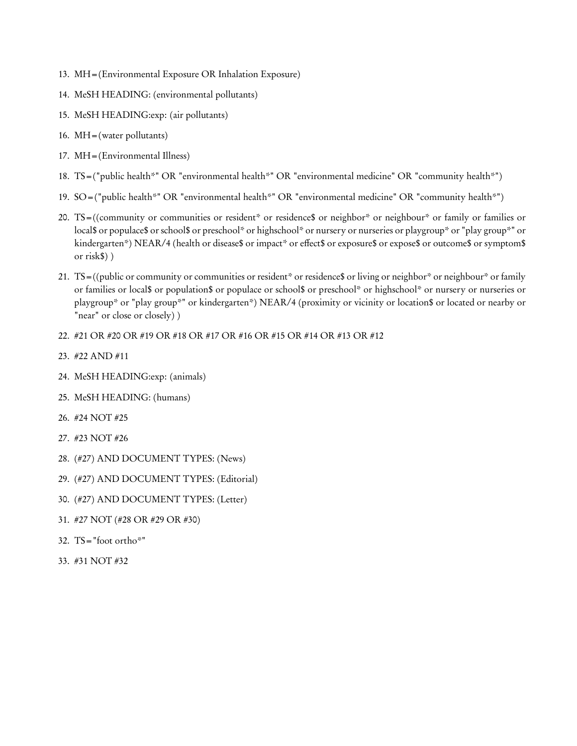- 13. MH=(Environmental Exposure OR Inhalation Exposure)
- 14. MeSH HEADING: (environmental pollutants)
- 15. MeSH HEADING:exp: (air pollutants)
- 16. MH=(water pollutants)
- 17. MH=(Environmental Illness)
- 18. TS=("public health\*" OR "environmental health\*" OR "environmental medicine" OR "community health\*")
- 19. SO=("public health\*" OR "environmental health\*" OR "environmental medicine" OR "community health\*")
- 20. TS=((community or communities or resident\* or residence\$ or neighbor\* or neighbour\* or family or families or local\$ or populace\$ or school\$ or preschool\* or highschool\* or nursery or nurseries or playgroup\* or "play group\*" or kindergarten\*) NEAR/4 (health or disease\$ or impact\* or effect\$ or exposure\$ or expose\$ or outcome\$ or symptom\$ or risk\$) )
- 21. TS=((public or community or communities or resident\* or residence\$ or living or neighbor\* or neighbour\* or family or families or local\$ or population\$ or populace or school\$ or preschool\* or highschool\* or nursery or nurseries or playgroup\* or "play group\*" or kindergarten\*) NEAR/4 (proximity or vicinity or location\$ or located or nearby or "near" or close or closely))
- 22. #21 OR #20 OR #19 OR #18 OR #17 OR #16 OR #15 OR #14 OR #13 OR #12
- 23. #22 AND #11
- 24. MeSH HEADING:exp: (animals)
- 25. MeSH HEADING: (humans)
- 26. #24 NOT #25
- 27. #23 NOT #26
- 28. (#27) AND DOCUMENT TYPES: (News)
- 29. (#27) AND DOCUMENT TYPES: (Editorial)
- 30. (#27) AND DOCUMENT TYPES: (Letter)
- 31. #27 NOT (#28 OR #29 OR #30)
- 32.  $TS = "foot ortho*"$
- 33. #31 NOT #32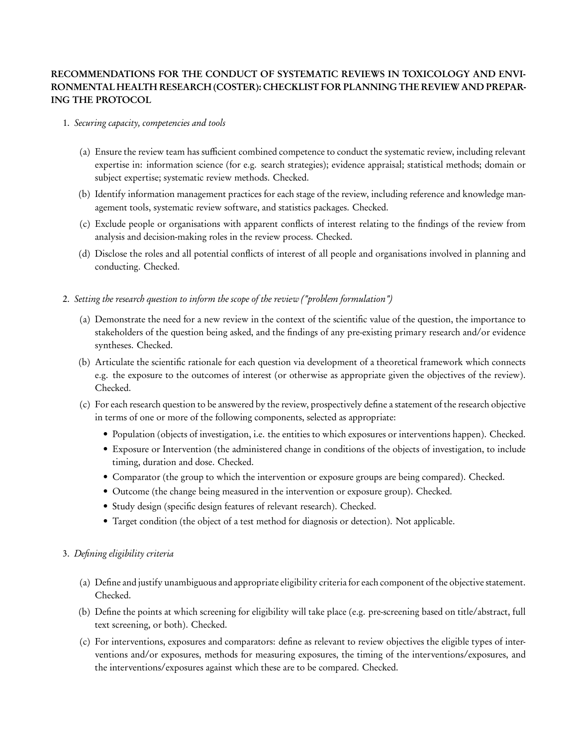# RECOMMENDATIONS FOR THE CONDUCT OF SYSTEMATIC REVIEWS IN TOXICOLOGY AND ENVI-RONMENTAL HEALTH RESEARCH (COSTER): CHECKLIST FOR PLANNING THE REVIEW AND PREPAR-ING THE PROTOCOL

#### 1. Securing capacity, competencies and tools

- (a) Ensure the review team has sufficient combined competence to conduct the systematic review, including relevant expertise in: information science ( for e.g. search strategies); evidence appraisal; statistical methods; domain or subject expertise; systematic review methods. Checked.
- (b) Identify information management practices for each stage of the review, including reference and knowledge management tools, systematic review software, and statistics packages. Checked.
- (c) Exclude people or organisations with apparent conflicts of interest relating to the findings of the review from analysis and decision-making roles in the review process. Checked.
- (d) Disclose the roles and all potential conflicts of interest of all people and organisations involved in planning and conducting. Checked.

# 2. Setting the research question to inform the scope of the review ("problem formulation")

- (a) Demonstrate the need for a new review in the context of the scientific value of the question, the importance to stakeholders of the question being asked, and the findings of any pre-existing primary research and/or evidence syntheses. Checked.
- (b) Articulate the scientific rationale for each question via development of a theoretical framework which connects e.g. the exposure to the outcomes of interest (or otherwise as appropriate given the objectives of the review). Checked.
- (c) For each research question to be answered by the review, prospectively define a statement of the research objective in terms of one or more of the following components, selected as appropriate:
	- Population (objects of investigation, i.e. the entities to which exposures or interventions happen). Checked.
	- Exposure or Intervention ( the administered change in conditions of the objects of investigation, to include timing, duration and dose. Checked.
	- Comparator ( the group to which the intervention or exposure groups are being compared). Checked.
	- Outcome (the change being measured in the intervention or exposure group). Checked.
	- Study design (specific design features of relevant research). Checked.
	- Target condition (the object of a test method for diagnosis or detection). Not applicable.

# 3. Defining eligibility criteria

- (a) Define and justify unambiguous and appropriate eligibility criteria for each component of the objective statement. Checked.
- (b) Define the points at which screening for eligibility will take place (e.g. pre-screening based on title/abstract, full text screening, or both). Checked.
- (c) For interventions, exposures and comparators: define as relevant to review objectives the eligible types of interventions and/or exposures, methods for measuring exposures, the timing of the interventions/exposures, and the interventions/exposures against which these are to be compared. Checked.